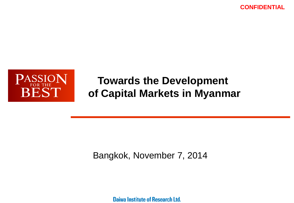**CONFIDENTIAL**



# **Towards the Development of Capital Markets in Myanmar**

## Bangkok, November 7, 2014

Daiwa Institute of Research Ltd.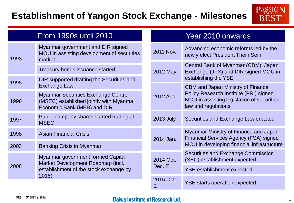## **Establishment of Yangon Stock Exchange - Milestones**



| <b>From 1990s until 2010</b> |                                                                                                                    | Year 2010 onwards    |                                                                                                                                                         |  |
|------------------------------|--------------------------------------------------------------------------------------------------------------------|----------------------|---------------------------------------------------------------------------------------------------------------------------------------------------------|--|
| 1993                         | Myanmar government and DIR signed<br>MOU in assisting development of securities<br>market                          | 2011 Nov.            | Advancing economic reforms led by the<br>newly elect President Thein Sein                                                                               |  |
|                              | Treasury bonds issuance started                                                                                    | 2012 May             | Central Bank of Myanmar (CBM), Japan<br>Exchange (JPX) and DIR signed MOU in                                                                            |  |
| 1995                         | DIR supported drafting the Securities and<br><b>Exchange Law</b>                                                   |                      | establishing the YSE                                                                                                                                    |  |
| 1996                         | <b>Myanmar Securities Exchange Centre</b><br>(MSEC) established jointly with Myanma<br>Economic Bank (MEB) and DIR | 2012 Aug.            | <b>CBM and Japan Ministry of Finance</b><br>Policy Research Institute (PRI) signed<br>MOU in assisting legislation of securities<br>law and regulations |  |
| 1997                         | Public company shares started trading at<br><b>MSEC</b>                                                            | <b>2013 July</b>     | Securities and Exchange Law enacted                                                                                                                     |  |
| 1998                         | <b>Asian Financial Crisis</b>                                                                                      | 2014 Jan.            | Myanmar Ministry of Finance and Japan<br><b>Financial Services Agency (FSA) signed</b><br>MOU in developing financial infrastructure                    |  |
| 2003                         | <b>Banking Crisis in Myanmar</b>                                                                                   |                      |                                                                                                                                                         |  |
| 2008                         | Myanmar government formed Capital<br>Market Development Roadmap (incl.<br>establishment of the stock exchange by   | 2014 Oct.-<br>Dec. E | <b>Securities and Exchange Commission</b><br>(SEC) establishment expected                                                                               |  |
|                              |                                                                                                                    |                      | <b>YSE establishment expected</b>                                                                                                                       |  |
|                              | 2015)                                                                                                              | 2015 Oct.<br>Ē       | <b>YSE starts operation expected</b>                                                                                                                    |  |

#### **Daiwa Institute of Research Ltd.**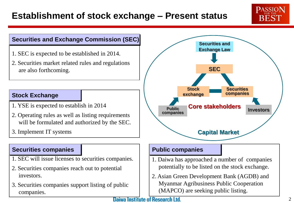### **PASSION BEST**

#### **Securities and Exchange Commission (SEC)**

- 1. SEC is expected to be established in 2014.
- 2. Securities market related rules and regulations are also forthcoming.

#### **Stock Exchange**

- 1. YSE is expected to establish in 2014
- 2. Operating rules as well as listing requirements will be formulated and authorized by the SEC.
- 3. Implement IT systems

#### **Securities companies**

- 1. SEC will issue licenses to securities companies.
- 2. Securities companies reach out to potential investors.
- 3. Securities companies support listing of public companies.



#### **Public companies**

- 1. Daiwa has approached a number of companies potentially to be listed on the stock exchange.
- 2. Asian Green Development Bank (AGDB) and Myanmar Agribusiness Public Cooperation (MAPCO) are seeking public listing.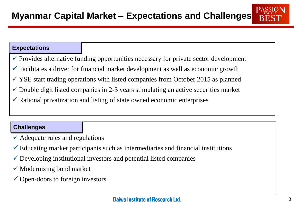#### **Expectations**

- $\checkmark$  Provides alternative funding opportunities necessary for private sector development
- $\checkmark$  Facilitates a driver for financial market development as well as economic growth
- $\checkmark$  YSE start trading operations with listed companies from October 2015 as planned
- $\checkmark$  Double digit listed companies in 2-3 years stimulating an active securities market
- $\checkmark$  Rational privatization and listing of state owned economic enterprises

#### **Challenges**

- $\checkmark$  Adequate rules and regulations
- $\checkmark$  Educating market participants such as intermediaries and financial institutions
- $\checkmark$  Developing institutional investors and potential listed companies
- $\checkmark$  Modernizing bond market
- $\checkmark$  Open-doors to foreign investors

PASSIC